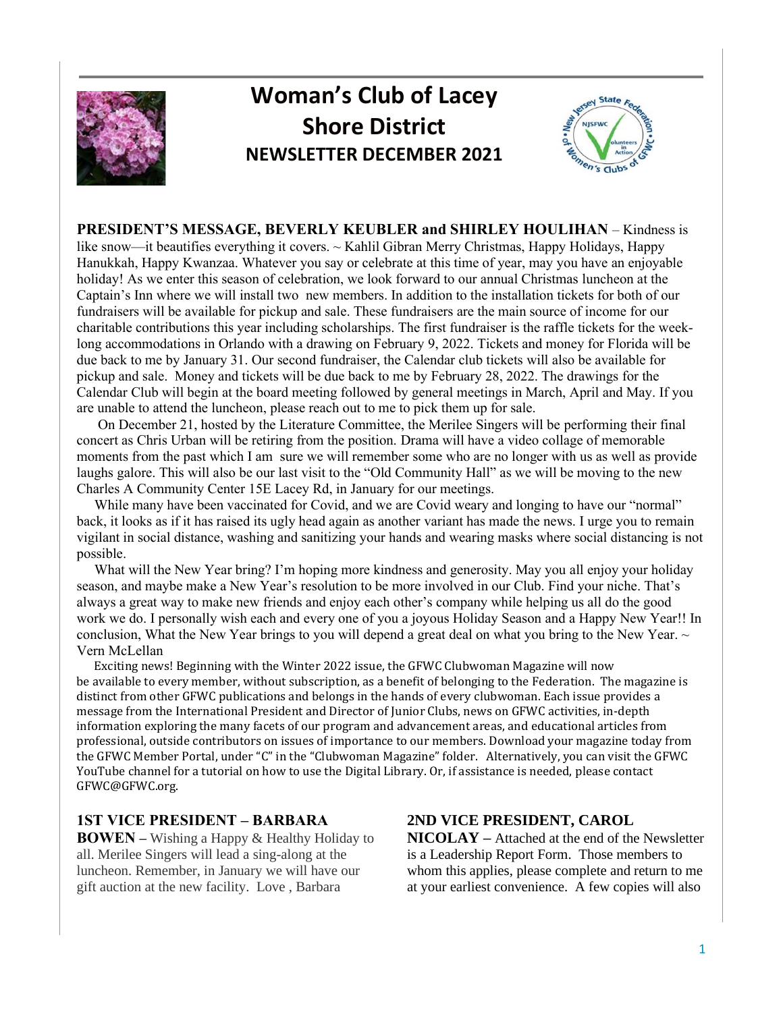

# **Woman's Club of Lacey Shore District NEWSLETTER DECEMBER 2021**



**PRESIDENT'S MESSAGE, BEVERLY KEUBLER and SHIRLEY HOULIHAN** – Kindness is like snow—it beautifies everything it covers. ~ Kahlil Gibran Merry Christmas, Happy Holidays, Happy Hanukkah, Happy Kwanzaa. Whatever you say or celebrate at this time of year, may you have an enjoyable holiday! As we enter this season of celebration, we look forward to our annual Christmas luncheon at the Captain's Inn where we will install two new members. In addition to the installation tickets for both of our fundraisers will be available for pickup and sale. These fundraisers are the main source of income for our charitable contributions this year including scholarships. The first fundraiser is the raffle tickets for the weeklong accommodations in Orlando with a drawing on February 9, 2022. Tickets and money for Florida will be due back to me by January 31. Our second fundraiser, the Calendar club tickets will also be available for pickup and sale. Money and tickets will be due back to me by February 28, 2022. The drawings for the Calendar Club will begin at the board meeting followed by general meetings in March, April and May. If you are unable to attend the luncheon, please reach out to me to pick them up for sale.

 On December 21, hosted by the Literature Committee, the Merilee Singers will be performing their final concert as Chris Urban will be retiring from the position. Drama will have a video collage of memorable moments from the past which I am sure we will remember some who are no longer with us as well as provide laughs galore. This will also be our last visit to the "Old Community Hall" as we will be moving to the new Charles A Community Center 15E Lacey Rd, in January for our meetings.

 While many have been vaccinated for Covid, and we are Covid weary and longing to have our "normal" back, it looks as if it has raised its ugly head again as another variant has made the news. I urge you to remain vigilant in social distance, washing and sanitizing your hands and wearing masks where social distancing is not possible.

 What will the New Year bring? I'm hoping more kindness and generosity. May you all enjoy your holiday season, and maybe make a New Year's resolution to be more involved in our Club. Find your niche. That's always a great way to make new friends and enjoy each other's company while helping us all do the good work we do. I personally wish each and every one of you a joyous Holiday Season and a Happy New Year!! In conclusion. What the New Year brings to you will depend a great deal on what you bring to the New Year.  $\sim$ Vern McLellan

 Exciting news! Beginning with the Winter 2022 issue, the GFWC Clubwoman Magazine will now be available to every member, without subscription, as a benefit of belonging to the Federation. The magazine is distinct from other GFWC publications and belongs in the hands of every clubwoman. Each issue provides a message from the International President and Director of Junior Clubs, news on GFWC activities, in-depth information exploring the many facets of our program and advancement areas, and educational articles from professional, outside contributors on issues of importance to our members. Download your magazine today from the GFWC Member Portal, under "C" in the "Clubwoman Magazine" folder. Alternatively, you can visit the GFWC YouTube channel for a tutorial on how to use the Digital Library. Or, if assistance is needed, please contact GFWC@GFWC.org.

#### **1ST VICE PRESIDENT – BARBARA**

**BOWEN –** Wishing a Happy & Healthy Holiday to all. Merilee Singers will lead a sing-along at the luncheon. Remember, in January we will have our gift auction at the new facility. Love , Barbara

## **2ND VICE PRESIDENT, CAROL**

**NICOLAY –** Attached at the end of the Newsletter is a Leadership Report Form. Those members to whom this applies, please complete and return to me at your earliest convenience. A few copies will also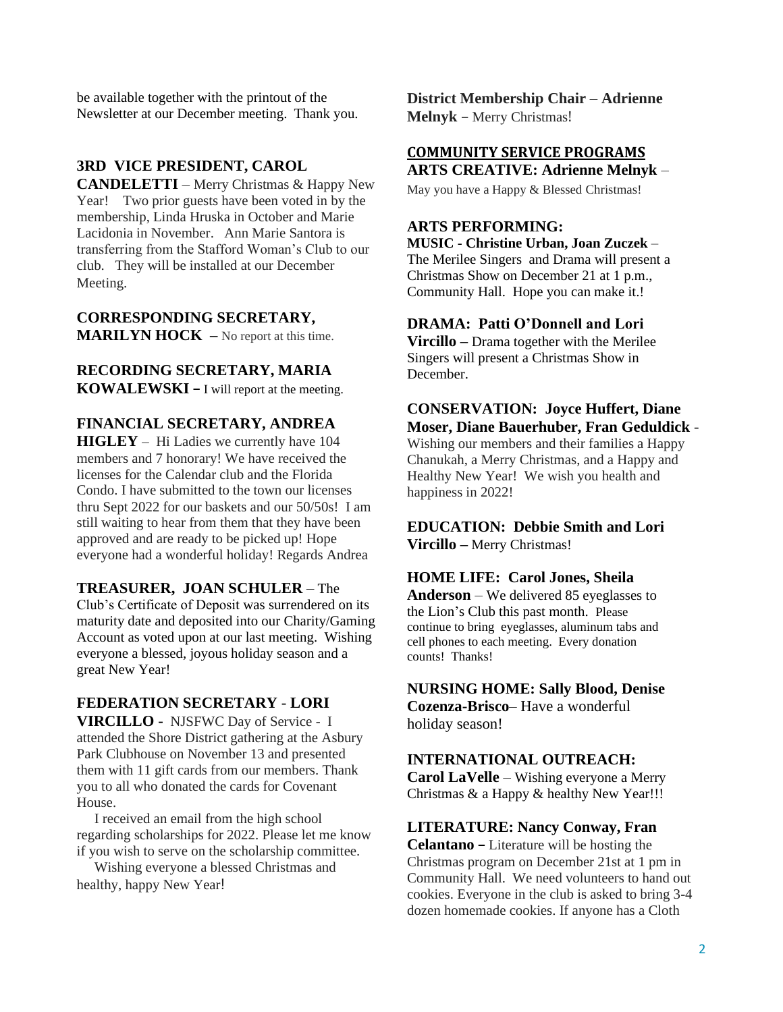be available together with the printout of the Newsletter at our December meeting. Thank you.

## **3RD VICE PRESIDENT, CAROL**

**CANDELETTI** – Merry Christmas & Happy New Year! Two prior guests have been voted in by the membership, Linda Hruska in October and Marie Lacidonia in November. Ann Marie Santora is transferring from the Stafford Woman's Club to our club. They will be installed at our December Meeting.

**CORRESPONDING SECRETARY, MARILYN HOCK** – No report at this time.

# **RECORDING SECRETARY, MARIA**

**KOWALEWSKI –** I will report at the meeting.

## **FINANCIAL SECRETARY, ANDREA**

**HIGLEY** – Hi Ladies we currently have 104 members and 7 honorary! We have received the licenses for the Calendar club and the Florida Condo. I have submitted to the town our licenses thru Sept 2022 for our baskets and our 50/50s! I am still waiting to hear from them that they have been approved and are ready to be picked up! Hope everyone had a wonderful holiday! Regards Andrea

#### **TREASURER, JOAN SCHULER** – The

Club's Certificate of Deposit was surrendered on its maturity date and deposited into our Charity/Gaming Account as voted upon at our last meeting. Wishing everyone a blessed, joyous holiday season and a great New Year!

## **FEDERATION SECRETARY** - **LORI**

**VIRCILLO -** NJSFWC Day of Service - I attended the Shore District gathering at the Asbury Park Clubhouse on November 13 and presented them with 11 gift cards from our members. Thank you to all who donated the cards for Covenant House.

 I received an email from the high school regarding scholarships for 2022. Please let me know if you wish to serve on the scholarship committee.

 Wishing everyone a blessed Christmas and healthy, happy New Year!

**District Membership Chair** – **Adrienne Melnyk** – Merry Christmas!

#### **COMMUNITY SERVICE PROGRAMS ARTS CREATIVE: Adrienne Melnyk** –

May you have a Happy & Blessed Christmas!

#### **ARTS PERFORMING:**

**MUSIC - Christine Urban, Joan Zuczek** – The Merilee Singers and Drama will present a Christmas Show on December 21 at 1 p.m., Community Hall. Hope you can make it.!

#### **DRAMA: Patti O'Donnell and Lori**

**Vircillo –** Drama together with the Merilee Singers will present a Christmas Show in December.

## **CONSERVATION: Joyce Huffert, Diane Moser, Diane Bauerhuber, Fran Geduldick** -

Wishing our members and their families a Happy Chanukah, a Merry Christmas, and a Happy and Healthy New Year! We wish you health and happiness in 2022!

#### **EDUCATION: Debbie Smith and Lori Vircillo –** Merry Christmas!

#### **HOME LIFE: Carol Jones, Sheila**

**Anderson** – We delivered 85 eyeglasses to the Lion's Club this past month. Please continue to bring eyeglasses, aluminum tabs and cell phones to each meeting. Every donation counts! Thanks!

## **NURSING HOME: Sally Blood, Denise**

**Cozenza-Brisco**– Have a wonderful holiday season!

#### **INTERNATIONAL OUTREACH:**

**Carol LaVelle** – Wishing everyone a Merry Christmas & a Happy & healthy New Year!!!

#### **LITERATURE: Nancy Conway, Fran**

**Celantano –** Literature will be hosting the Christmas program on December 21st at 1 pm in Community Hall. We need volunteers to hand out cookies. Everyone in the club is asked to bring 3-4 dozen homemade cookies. If anyone has a Cloth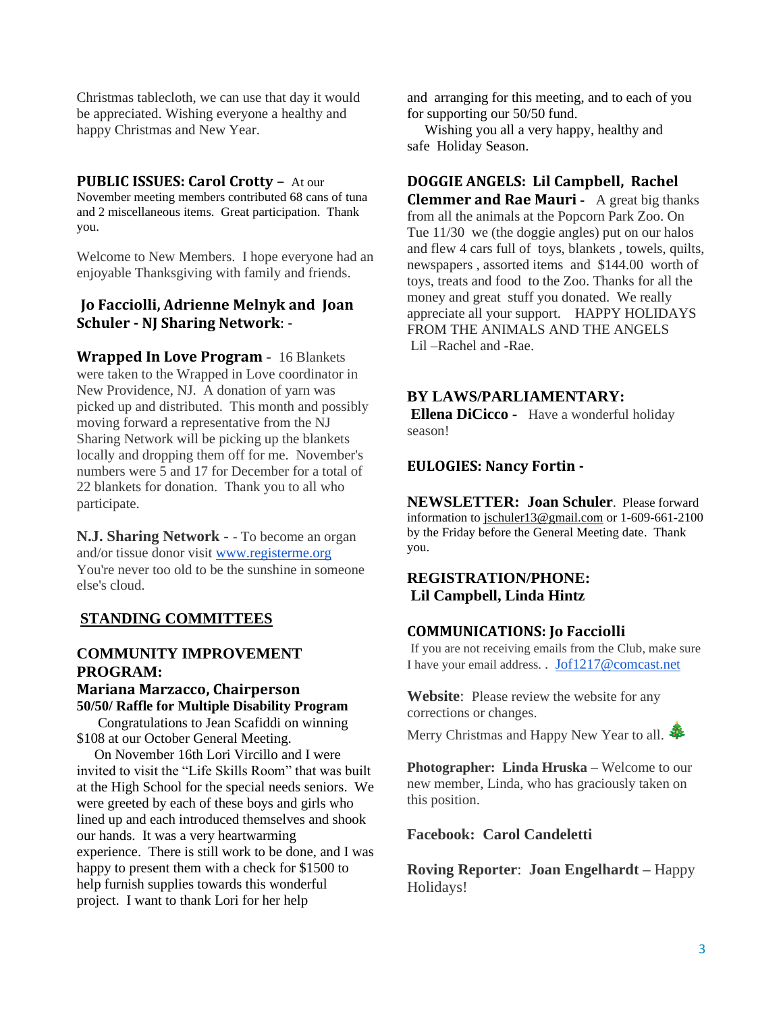Christmas tablecloth, we can use that day it would be appreciated. Wishing everyone a healthy and happy Christmas and New Year.

#### **PUBLIC ISSUES: Carol Crotty** – At our

November meeting members contributed 68 cans of tuna and 2 miscellaneous items. Great participation. Thank you.

Welcome to New Members. I hope everyone had an enjoyable Thanksgiving with family and friends.

#### **Jo Facciolli, Adrienne Melnyk and Joan Schuler - NJ Sharing Network**: -

**Wrapped In Love Program** - 16 Blankets were taken to the Wrapped in Love coordinator in New Providence, NJ. A donation of yarn was picked up and distributed. This month and possibly moving forward a representative from the NJ Sharing Network will be picking up the blankets locally and dropping them off for me. November's numbers were 5 and 17 for December for a total of 22 blankets for donation. Thank you to all who participate.

**N.J. Sharing Network** - - To become an organ and/or tissue donor visit [www.registerme.org](http://www.registerme.org/) You're never too old to be the sunshine in someone else's cloud.

## **STANDING COMMITTEES**

## **COMMUNITY IMPROVEMENT PROGRAM: Mariana Marzacco, Chairperson**

**50/50/ Raffle for Multiple Disability Program** Congratulations to Jean Scafiddi on winning \$108 at our October General Meeting.

 On November 16th Lori Vircillo and I were invited to visit the "Life Skills Room" that was built at the High School for the special needs seniors. We were greeted by each of these boys and girls who lined up and each introduced themselves and shook our hands. It was a very heartwarming experience. There is still work to be done, and I was happy to present them with a check for \$1500 to help furnish supplies towards this wonderful project. I want to thank Lori for her help

and arranging for this meeting, and to each of you for supporting our 50/50 fund.

 Wishing you all a very happy, healthy and safe Holiday Season.

#### **DOGGIE ANGELS: Lil Campbell, Rachel**

**Clemmer and Rae Mauri -** A great big thanks from all the animals at the Popcorn Park Zoo. On Tue 11/30 we (the doggie angles) put on our halos and flew 4 cars full of toys, blankets , towels, quilts, newspapers , assorted items and \$144.00 worth of toys, treats and food to the Zoo. Thanks for all the money and great stuff you donated. We really appreciate all your support. HAPPY HOLIDAYS FROM THE ANIMALS AND THE ANGELS Lil –Rachel and -Rae.

#### **BY LAWS/PARLIAMENTARY:**

**Ellena DiCicco -** Have a wonderful holiday season!

#### **EULOGIES: Nancy Fortin -**

**NEWSLETTER: Joan Schuler**. Please forward information to [jschuler13@gmail.com](mailto:jschuler13@gmail.com) or 1-609-661-2100 by the Friday before the General Meeting date. Thank you.

#### **REGISTRATION/PHONE: Lil Campbell, Linda Hintz**

#### **COMMUNICATIONS: Jo Facciolli**

If you are not receiving emails from the Club, make sure I have your email address. . [Jof1217@comcast.net](mailto:Jof1217@comcast.net)

**Website**: Please review the website for any corrections or changes.

Merry Christmas and Happy New Year to all.

**Photographer: Linda Hruska –** Welcome to our new member, Linda, who has graciously taken on this position.

#### **Facebook: Carol Candeletti**

**Roving Reporter**: **Joan Engelhardt –** Happy Holidays!